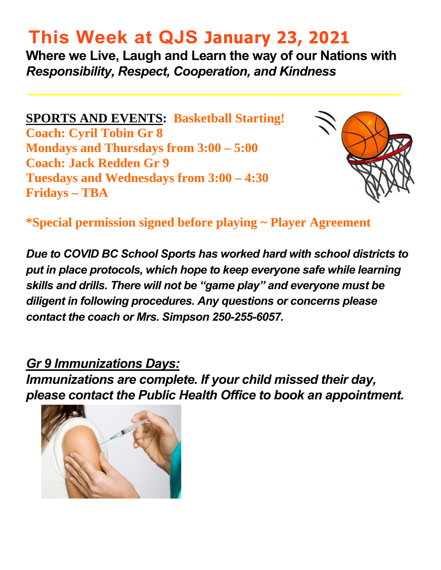# **This Week at QJS January 23, 2021**

**Where we Live, Laugh and Learn the way of our Nations with**  *Responsibility, Respect, Cooperation, and Kindness* 

**SPORTS AND EVENTS: Basketball Starting! Coach: Cyril Tobin Gr 8 Mondays and Thursdays from 3:00 – 5:00 Coach: Jack Redden Gr 9 Tuesdays and Wednesdays from 3:00 – 4:30 Fridays – TBA** 



**\*Special permission signed before playing ~ Player Agreement** 

*Due to COVID BC School Sports has worked hard with school districts to put in place protocols, which hope to keep everyone safe while learning skills and drills. There will not be "game play" and everyone must be diligent in following procedures. Any questions or concerns please contact the coach or Mrs. Simpson 250-255-6057.* 

*Gr 9 Immunizations Days:* 

*Immunizations are complete. If your child missed their day, please contact the Public Health Office to book an appointment.* 

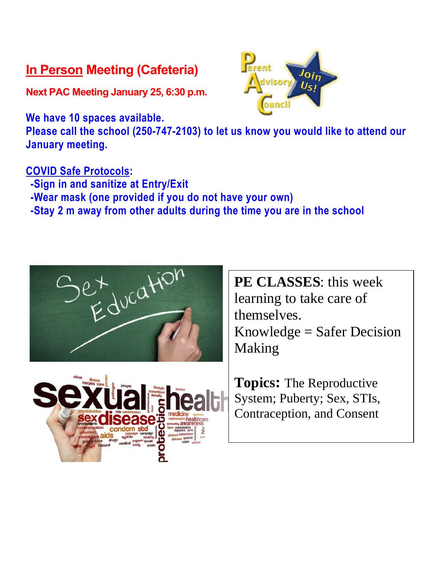#### **In Person Meeting (Cafeteria)**

**Next PAC Meeting January 25, 6:30 p.m.** 

**We have 10 spaces available.** 



#### **COVID Safe Protocols:**

- **-Sign in and sanitize at Entry/Exit**
- **-Wear mask (one provided if you do not have your own)**
- **-Stay 2 m away from other adults during the time you are in the school**





**PE CLASSES**: this week learning to take care of themselves. Knowledge = Safer Decision Making

**Topics:** The Reproductive System; Puberty; Sex, STIs, Contraception, and Consent

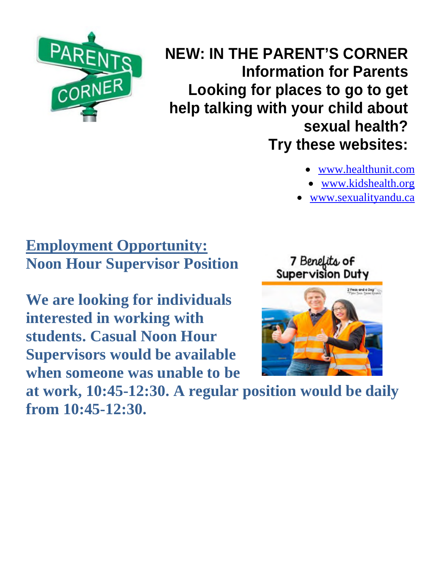

 **NEW: IN THE PARENT'S CORNER Information for Parents Looking for places to go to get help talking with your child about sexual health? Try these websites:** 

- [www.healthunit.com](http://www.healthunit.com/)
- [www.kidshealth.org](http://www.kidshealth.org/)
- [www.sexualityandu.ca](http://www.sexualityandu.ca/)

### **Employment Opportunity: Noon Hour Supervisor Position**

**We are looking for individuals interested in working with students. Casual Noon Hour Supervisors would be available when someone was unable to be** 



7 Benefits of

**at work, 10:45-12:30. A regular position would be daily from 10:45-12:30.**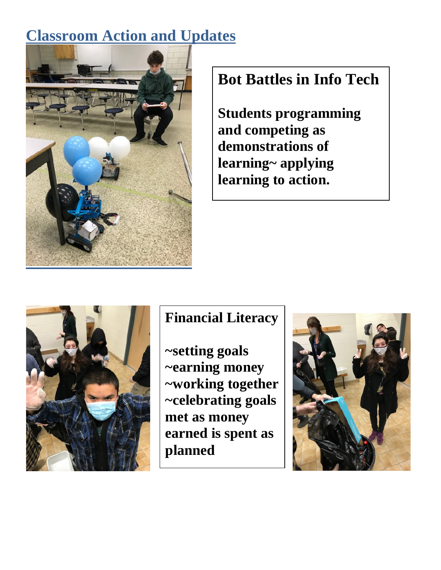### **Classroom Action and Updates**



### **Bot Battles in Info Tech**

**Students programming and competing as demonstrations of learning~ applying learning to action.** 



#### **Financial Literacy**

**~setting goals ~earning money ~working together ~celebrating goals met as money earned is spent as planned** 

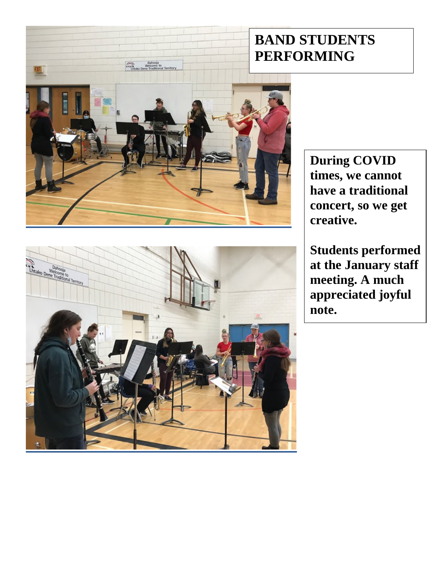### **BAND STUDENTS PERFORMING**



**During COVID times, we cannot have a traditional concert, so we get creative.** 

**Students performed at the January staff meeting. A much appreciated joyful note.** 

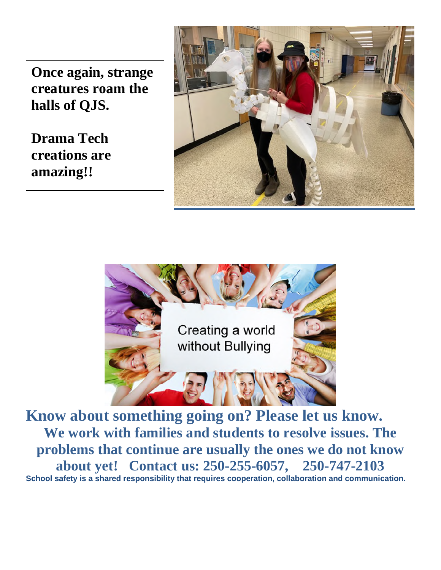**Once again, strange creatures roam the halls of QJS.** 

**Drama Tech creations are amazing!!** 





**Know about something going on? Please let us know. We work with families and students to resolve issues. The problems that continue are usually the ones we do not know about yet! Contact us: 250-255-6057, 250-747-2103 School safety is a shared responsibility that requires cooperation, collaboration and communication.**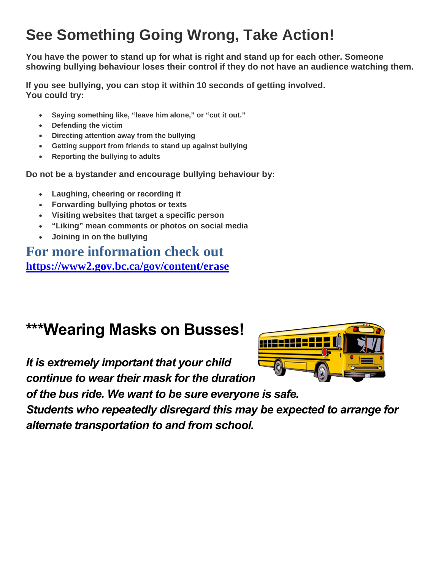### **See Something Going Wrong, Take Action!**

**You have the power to stand up for what is right and stand up for each other. Someone showing bullying behaviour loses their control if they do not have an audience watching them.** 

**If you see bullying, you can stop it within 10 seconds of getting involved. You could try:** 

- **Saying something like, "leave him alone," or "cut it out."**
- **Defending the victim**
- **Directing attention away from the bullying**
- **Getting support from friends to stand up against bullying**
- **Reporting the bullying to adults**

**Do not be a bystander and encourage bullying behaviour by:** 

- **Laughing, cheering or recording it**
- **Forwarding bullying photos or texts**
- **Visiting websites that target a specific person**
- **"Liking" mean comments or photos on social media**
- **Joining in on the bullying**

#### **For more information check out <https://www2.gov.bc.ca/gov/content/erase>**

# **\*\*\*Wearing Masks on Busses!**

*It is extremely important that your child continue to wear their mask for the duration* 



*of the bus ride. We want to be sure everyone is safe.* 

*Students who repeatedly disregard this may be expected to arrange for alternate transportation to and from school.*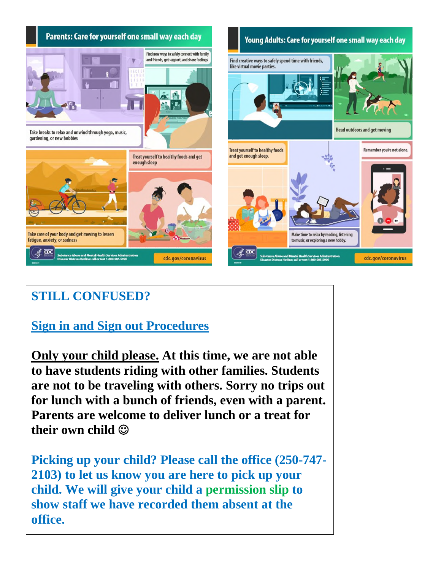

#### **STILL CONFUSED?**

#### **Sign in and Sign out Procedures**

**Only your child please. At this time, we are not able to have students riding with other families. Students are not to be traveling with others. Sorry no trips out for lunch with a bunch of friends, even with a parent. Parents are welcome to deliver lunch or a treat for their own child** 

**Picking up your child? Please call the office (250-747- 2103) to let us know you are here to pick up your child. We will give your child a permission slip to show staff we have recorded them absent at the office.**